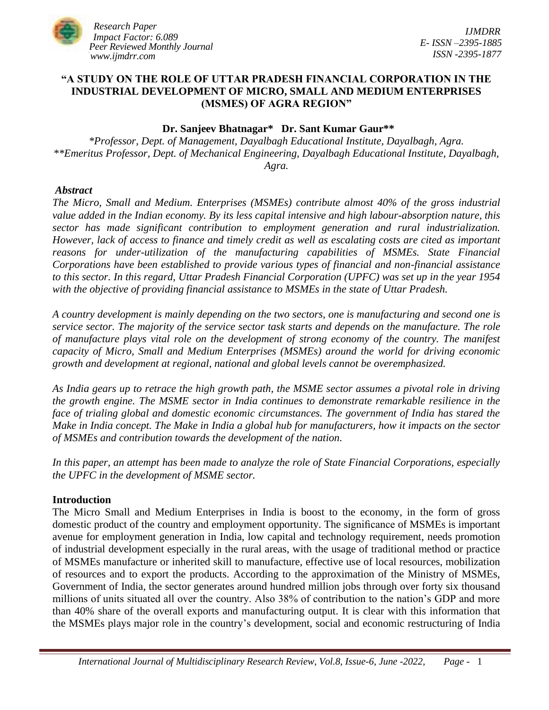

# **"A STUDY ON THE ROLE OF UTTAR PRADESH FINANCIAL CORPORATION IN THE INDUSTRIAL DEVELOPMENT OF MICRO, SMALL AND MEDIUM ENTERPRISES (MSMES) OF AGRA REGION"**

### **Dr. Sanjeev Bhatnagar\* Dr. Sant Kumar Gaur\*\***

*\*Professor, Dept. of Management, Dayalbagh Educational Institute, Dayalbagh, Agra. \*\*Emeritus Professor, Dept. of Mechanical Engineering, Dayalbagh Educational Institute, Dayalbagh, Agra.*

#### *Abstract*

*The Micro, Small and Medium. Enterprises (MSMEs) contribute almost 40% of the gross industrial value added in the Indian economy. By its less capital intensive and high labour-absorption nature, this sector has made significant contribution to employment generation and rural industrialization. However, lack of access to finance and timely credit as well as escalating costs are cited as important reasons for under-utilization of the manufacturing capabilities of MSMEs. State Financial Corporations have been established to provide various types of financial and non-financial assistance to this sector. In this regard, Uttar Pradesh Financial Corporation (UPFC) was set up in the year 1954 with the objective of providing financial assistance to MSMEs in the state of Uttar Pradesh.* 

*A country development is mainly depending on the two sectors, one is manufacturing and second one is service sector. The majority of the service sector task starts and depends on the manufacture. The role of manufacture plays vital role on the development of strong economy of the country. The manifest capacity of Micro, Small and Medium Enterprises (MSMEs) around the world for driving economic growth and development at regional, national and global levels cannot be overemphasized.* 

*As India gears up to retrace the high growth path, the MSME sector assumes a pivotal role in driving the growth engine. The MSME sector in India continues to demonstrate remarkable resilience in the face of trialing global and domestic economic circumstances. The government of India has stared the Make in India concept. The Make in India a global hub for manufacturers, how it impacts on the sector of MSMEs and contribution towards the development of the nation.* 

*In this paper, an attempt has been made to analyze the role of State Financial Corporations, especially the UPFC in the development of MSME sector.*

#### **Introduction**

The Micro Small and Medium Enterprises in India is boost to the economy, in the form of gross domestic product of the country and employment opportunity. The significance of MSMEs is important avenue for employment generation in India, low capital and technology requirement, needs promotion of industrial development especially in the rural areas, with the usage of traditional method or practice of MSMEs manufacture or inherited skill to manufacture, effective use of local resources, mobilization of resources and to export the products. According to the approximation of the Ministry of MSMEs, Government of India, the sector generates around hundred million jobs through over forty six thousand millions of units situated all over the country. Also 38% of contribution to the nation's GDP and more than 40% share of the overall exports and manufacturing output. It is clear with this information that the MSMEs plays major role in the country's development, social and economic restructuring of India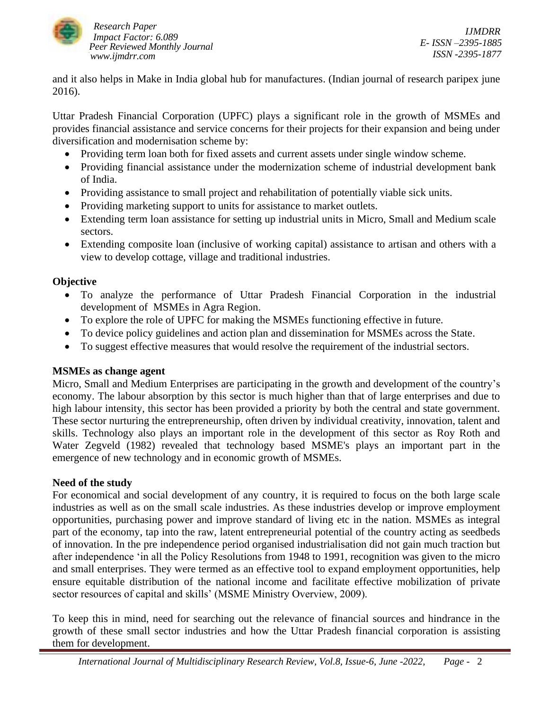

and it also helps in Make in India global hub for manufactures. (Indian journal of research paripex june 2016).

Uttar Pradesh Financial Corporation (UPFC) plays a significant role in the growth of MSMEs and provides financial assistance and service concerns for their projects for their expansion and being under diversification and modernisation scheme by:

- Providing term loan both for fixed assets and current assets under single window scheme.
- Providing financial assistance under the modernization scheme of industrial development bank of India.
- Providing assistance to small project and rehabilitation of potentially viable sick units.
- Providing marketing support to units for assistance to market outlets.
- Extending term loan assistance for setting up industrial units in Micro, Small and Medium scale sectors.
- Extending composite loan (inclusive of working capital) assistance to artisan and others with a view to develop cottage, village and traditional industries.

# **Objective**

- To analyze the performance of Uttar Pradesh Financial Corporation in the industrial development of MSMEs in Agra Region.
- To explore the role of UPFC for making the MSMEs functioning effective in future.
- To device policy guidelines and action plan and dissemination for MSMEs across the State.
- To suggest effective measures that would resolve the requirement of the industrial sectors.

# **MSMEs as change agent**

Micro, Small and Medium Enterprises are participating in the growth and development of the country's economy. The labour absorption by this sector is much higher than that of large enterprises and due to high labour intensity, this sector has been provided a priority by both the central and state government. These sector nurturing the entrepreneurship, often driven by individual creativity, innovation, talent and skills. Technology also plays an important role in the development of this sector as Roy Roth and Water Zegveld (1982) revealed that technology based MSME's plays an important part in the emergence of new technology and in economic growth of MSMEs.

# **Need of the study**

For economical and social development of any country, it is required to focus on the both large scale industries as well as on the small scale industries. As these industries develop or improve employment opportunities, purchasing power and improve standard of living etc in the nation. MSMEs as integral part of the economy, tap into the raw, latent entrepreneurial potential of the country acting as seedbeds of innovation. In the pre independence period organised industrialisation did not gain much traction but after independence 'in all the Policy Resolutions from 1948 to 1991, recognition was given to the micro and small enterprises. They were termed as an effective tool to expand employment opportunities, help ensure equitable distribution of the national income and facilitate effective mobilization of private sector resources of capital and skills' (MSME Ministry Overview, 2009).

To keep this in mind, need for searching out the relevance of financial sources and hindrance in the growth of these small sector industries and how the Uttar Pradesh financial corporation is assisting them for development.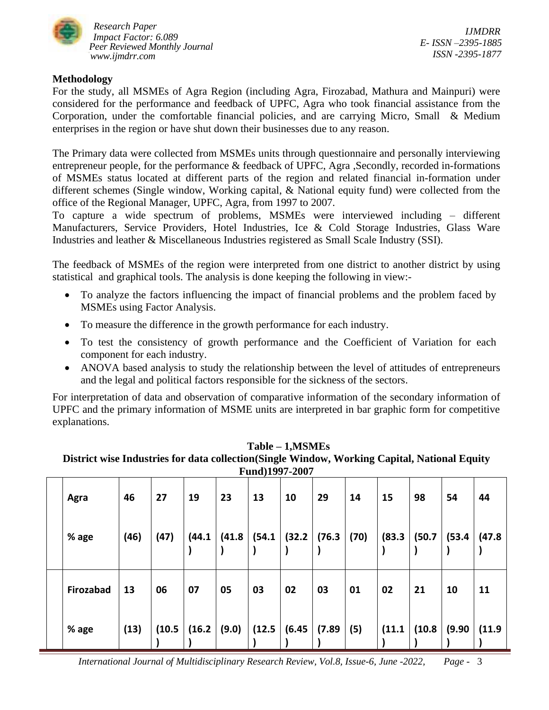

*IJMDRR E- ISSN –2395-1885 ISSN -2395-1877*

# **Methodology**

For the study, all MSMEs of Agra Region (including Agra, Firozabad, Mathura and Mainpuri) were considered for the performance and feedback of UPFC, Agra who took financial assistance from the Corporation, under the comfortable financial policies, and are carrying Micro, Small & Medium enterprises in the region or have shut down their businesses due to any reason.

The Primary data were collected from MSMEs units through questionnaire and personally interviewing entrepreneur people, for the performance & feedback of UPFC, Agra ,Secondly, recorded in-formations of MSMEs status located at different parts of the region and related financial in-formation under different schemes (Single window, Working capital, & National equity fund) were collected from the office of the Regional Manager, UPFC, Agra, from 1997 to 2007.

To capture a wide spectrum of problems, MSMEs were interviewed including – different Manufacturers, Service Providers, Hotel Industries, Ice & Cold Storage Industries, Glass Ware Industries and leather & Miscellaneous Industries registered as Small Scale Industry (SSI).

The feedback of MSMEs of the region were interpreted from one district to another district by using statistical and graphical tools. The analysis is done keeping the following in view:-

- To analyze the factors influencing the impact of financial problems and the problem faced by MSMEs using Factor Analysis.
- To measure the difference in the growth performance for each industry.
- To test the consistency of growth performance and the Coefficient of Variation for each component for each industry.
- ANOVA based analysis to study the relationship between the level of attitudes of entrepreneurs and the legal and political factors responsible for the sickness of the sectors.

For interpretation of data and observation of comparative information of the secondary information of UPFC and the primary information of MSME units are interpreted in bar graphic form for competitive explanations.

|           |      |        |        |        | Fund)1997-2007 |        |        |      |        |        |        |        |
|-----------|------|--------|--------|--------|----------------|--------|--------|------|--------|--------|--------|--------|
| Agra      | 46   | 27     | 19     | 23     | 13             | 10     | 29     | 14   | 15     | 98     | 54     | 44     |
| % age     | (46) | (47)   | (44.1) | (41.8) | (54.1)         | (32.2) | (76.3) | (70) | (83.3) | (50.7) | (53.4) | (47.8) |
| Firozabad | 13   | 06     | 07     | 05     | 03             | 02     | 03     | 01   | 02     | 21     | 10     | 11     |
| % age     | (13) | (10.5) | (16.2) | (9.0)  | (12.5)         | (6.45) | (7.89) | (5)  | (11.1) | (10.8) | (9.90) | (11.9) |

## **Table – 1,MSMEs**

**District wise Industries for data collection(Single Window, Working Capital, National Equity**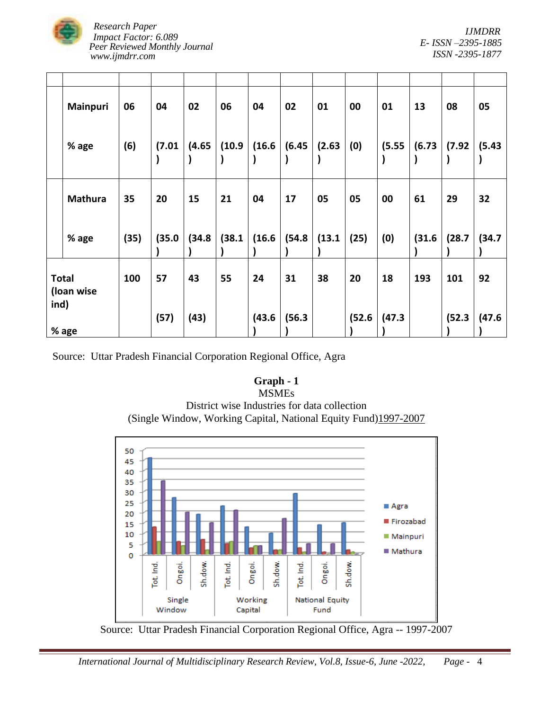

|                      | Mainpuri       | 06   | 04     | 02     | 06     | 04     | 02     | 01     | 00     | 01     | 13     | 08     | 05     |
|----------------------|----------------|------|--------|--------|--------|--------|--------|--------|--------|--------|--------|--------|--------|
|                      | % age          | (6)  | (7.01) | (4.65) | (10.9) | (16.6) | (6.45) | (2.63) | (0)    | (5.55) | (6.73) | (7.92) | (5.43) |
|                      | <b>Mathura</b> | 35   | 20     | 15     | 21     | 04     | 17     | 05     | 05     | 00     | 61     | 29     | 32     |
|                      | % age          | (35) | (35.0) | (34.8) | (38.1) | (16.6) | (54.8) | (13.1) | (25)   | (0)    | (31.6) | (28.7) | (34.7) |
| <b>Total</b><br>ind) | (loan wise     | 100  | 57     | 43     | 55     | 24     | 31     | 38     | 20     | 18     | 193    | 101    | 92     |
|                      | % age          |      | (57)   | (43)   |        | (43.6) | (56.3) |        | (52.6) | (47.3) |        | (52.3) | (47.6) |

Source: Uttar Pradesh Financial Corporation Regional Office, Agra

# **Graph - 1**

#### MSMEs

District wise Industries for data collection (Single Window, Working Capital, National Equity Fund)1997-2007



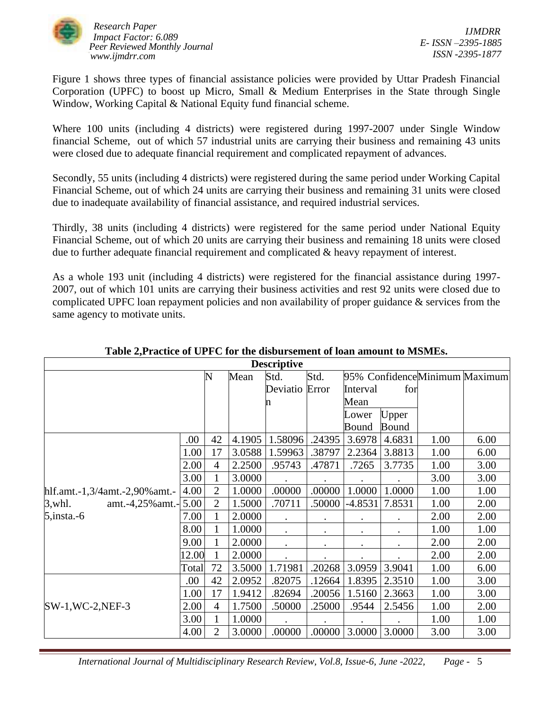

Figure 1 shows three types of financial assistance policies were provided by Uttar Pradesh Financial Corporation (UPFC) to boost up Micro, Small & Medium Enterprises in the State through Single Window, Working Capital & National Equity fund financial scheme.

Where 100 units (including 4 districts) were registered during 1997-2007 under Single Window financial Scheme, out of which 57 industrial units are carrying their business and remaining 43 units were closed due to adequate financial requirement and complicated repayment of advances.

Secondly, 55 units (including 4 districts) were registered during the same period under Working Capital Financial Scheme, out of which 24 units are carrying their business and remaining 31 units were closed due to inadequate availability of financial assistance, and required industrial services.

Thirdly, 38 units (including 4 districts) were registered for the same period under National Equity Financial Scheme, out of which 20 units are carrying their business and remaining 18 units were closed due to further adequate financial requirement and complicated & heavy repayment of interest.

As a whole 193 unit (including 4 districts) were registered for the financial assistance during 1997- 2007, out of which 101 units are carrying their business activities and rest 92 units were closed due to complicated UPFC loan repayment policies and non availability of proper guidance & services from the same agency to motivate units.

|                                |       |                |        | <b>Descriptive</b> |           |           |           |      |                               |
|--------------------------------|-------|----------------|--------|--------------------|-----------|-----------|-----------|------|-------------------------------|
|                                |       | N              | Mean   | Std.               | Std.      |           |           |      | 95% ConfidenceMinimum Maximum |
|                                |       |                |        | Deviatio Error     |           | Interval  | for       |      |                               |
|                                |       |                |        | n                  |           | Mean      |           |      |                               |
|                                |       |                |        |                    |           | Lower     | Upper     |      |                               |
|                                |       |                |        |                    |           | Bound     | Bound     |      |                               |
|                                | .00   | 42             | 4.1905 | 1.58096            | .24395    | 3.6978    | 4.6831    | 1.00 | 6.00                          |
|                                | 1.00  | 17             | 3.0588 | 1.59963            | .38797    | 2.2364    | 3.8813    | 1.00 | 6.00                          |
|                                | 2.00  | $\overline{4}$ | 2.2500 | .95743             | .47871    | .7265     | 3.7735    | 1.00 | 3.00                          |
|                                | 3.00  | 1              | 3.0000 |                    |           | $\bullet$ |           | 3.00 | 3.00                          |
| hlf.amt.-1,3/4amt.-2,90% amt.- | 4.00  | $\overline{2}$ | 1.0000 | .00000             | .00000    | 1.0000    | 1.0000    | 1.00 | 1.00                          |
| $3$ , whl.<br>amt.-4,25% amt.- | 5.00  | $\overline{2}$ | 1.5000 | .70711             | .50000    | $-4.8531$ | 7.8531    | 1.00 | 2.00                          |
| $5, \text{insta.-6}$           | 7.00  |                | 2.0000 | $\bullet$          | $\bullet$ | $\bullet$ |           | 2.00 | 2.00                          |
|                                | 8.00  |                | 1.0000 | $\bullet$          |           |           |           | 1.00 | 1.00                          |
|                                | 9.00  |                | 2.0000 | $\bullet$          | $\bullet$ | $\bullet$ | $\bullet$ | 2.00 | 2.00                          |
|                                | 12.00 |                | 2.0000 |                    |           |           |           | 2.00 | 2.00                          |
|                                | Total | 72             | 3.5000 | 1.71981            | .20268    | 3.0959    | 3.9041    | 1.00 | 6.00                          |
|                                | .00   | 42             | 2.0952 | .82075             | .12664    | 1.8395    | 2.3510    | 1.00 | 3.00                          |
|                                | 1.00  | 17             | 1.9412 | .82694             | .20056    | 1.5160    | 2.3663    | 1.00 | 3.00                          |
| $SW-1$ , $WC-2$ , $NEF-3$      | 2.00  | $\overline{4}$ | 1.7500 | .50000             | .25000    | .9544     | 2.5456    | 1.00 | 2.00                          |
|                                | 3.00  | 1              | 1.0000 |                    |           |           |           | 1.00 | 1.00                          |
|                                | 4.00  | 2              | 3.0000 | .00000             | .00000    | 3.0000    | 3.0000    | 3.00 | 3.00                          |

# **Table 2,Practice of UPFC for the disbursement of loan amount to MSMEs.**

 *International Journal of Multidisciplinary Research Review, Vol.8, Issue-6, June -2022, Page -* 5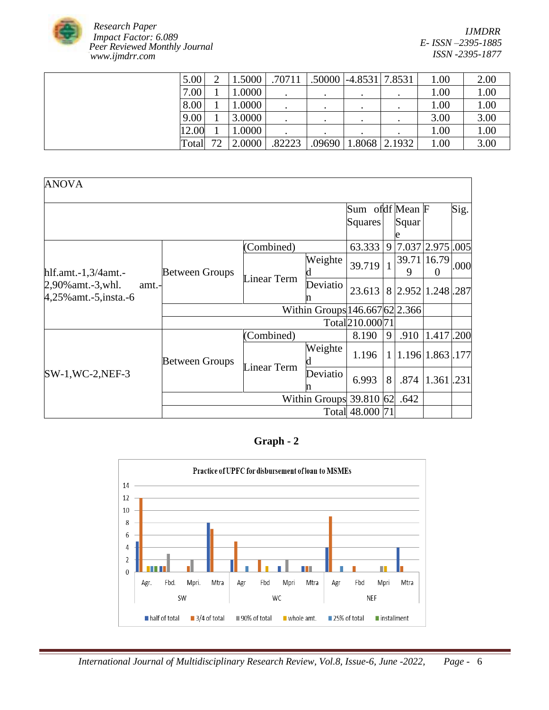

| 5.00  | 1.5000 | .70711 |       | $.50000$   -4.8531   7.8531 | 1.00 | 2.00 |
|-------|--------|--------|-------|-----------------------------|------|------|
| 7.00  | 1.0000 |        |       |                             | 1.00 | 1.00 |
| 8.00  | 1.0000 |        |       |                             | 1.00 | 1.00 |
| 9.00  | 3.0000 |        |       |                             | 3.00 | 3.00 |
| 12.00 | 1.0000 |        |       |                             | 1.00 | 1.00 |
| Total | 2.0000 | 82223  | 09690 | 1.8068 2.1932               | 1.00 | 3.00 |

| <b>ANOVA</b>                                               |                       |                                |                           |                  |              |                    |                         |      |
|------------------------------------------------------------|-----------------------|--------------------------------|---------------------------|------------------|--------------|--------------------|-------------------------|------|
|                                                            |                       |                                |                           | Sum ofdf Mean F  |              |                    |                         | Sig. |
|                                                            |                       |                                |                           | Squares          |              | Squar<br>e         |                         |      |
|                                                            |                       | (Combined)                     |                           | 63.333           | 9            | 7.037              | 2.975 .005              |      |
| hlf.amt. $-1,3/4$ amt. $-$                                 | <b>Between Groups</b> |                                | Weighte                   | 39.719           | $\mathbf{1}$ | 9                  | 39.71 16.79<br>$\theta$ | .000 |
| 2,90% amt.-3, whl.<br>amt.-<br>$4,25\%$ amt. -5, insta. -6 |                       | Linear Term                    | Deviatio                  | 23.613           |              | 8 2.952 1.248 287  |                         |      |
|                                                            |                       | Within Groups 146.667 62 2.366 |                           |                  |              |                    |                         |      |
|                                                            |                       |                                |                           | Total 210.000 71 |              |                    |                         |      |
|                                                            |                       | (Combined)                     |                           | 8.190            | 9            | .910               | 1.417.200               |      |
|                                                            | <b>Between Groups</b> | Linear Term                    | Weighte                   | 1.196            |              | 1 1.196 1.863 .177 |                         |      |
| $SW-1$ , WC-2, NEF-3                                       |                       |                                | Deviatio<br>n             | 6.993            | 8            | .874               | 1.361.231               |      |
|                                                            |                       |                                | Within Groups $39.810$ 62 |                  |              | .642               |                         |      |
|                                                            |                       |                                |                           | Total 48.000 71  |              |                    |                         |      |

# **Graph - 2**

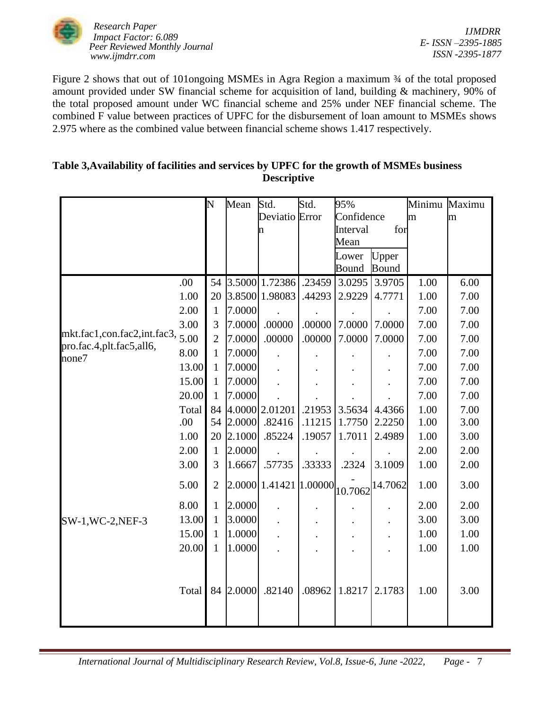

*IJMDRR E- ISSN –2395-1885 ISSN -2395-1877*

Figure 2 shows that out of 101ongoing MSMEs in Agra Region a maximum  $\frac{3}{4}$  of the total proposed amount provided under SW financial scheme for acquisition of land, building & machinery, 90% of the total proposed amount under WC financial scheme and 25% under NEF financial scheme. The combined F value between practices of UPFC for the disbursement of loan amount to MSMEs shows 2.975 where as the combined value between financial scheme shows 1.417 respectively.

# **Table 3,Availability of facilities and services by UPFC for the growth of MSMEs business Descriptive**

|                                                           |       | N              | Mean   | Std.                   | Std.   | 95%        |              | Minimu | Maximu |
|-----------------------------------------------------------|-------|----------------|--------|------------------------|--------|------------|--------------|--------|--------|
|                                                           |       |                |        | Deviatio Error         |        | Confidence |              | m      | m      |
|                                                           |       |                |        | n                      |        | Interval   | for          |        |        |
|                                                           |       |                |        |                        |        | Mean       |              |        |        |
|                                                           |       |                |        |                        |        | Lower      | Upper        |        |        |
|                                                           |       |                |        |                        |        | Bound      | <b>Bound</b> |        |        |
|                                                           | .00   | 54             |        | 3.5000 1.72386         | .23459 | 3.0295     | 3.9705       | 1.00   | 6.00   |
|                                                           | 1.00  | 20             |        | 3.8500 1.98083         | .44293 | 2.9229     | 4.7771       | 1.00   | 7.00   |
|                                                           | 2.00  | 1              | 7.0000 |                        |        |            |              | 7.00   | 7.00   |
|                                                           | 3.00  | 3              | 7.0000 | .00000                 | .00000 | 7.0000     | 7.0000       | 7.00   | 7.00   |
| mkt.fac1,con.fac2,int.fac3,<br>pro.fac.4, plt.fac5, all6, | 5.00  | $\overline{2}$ | 7.0000 | .00000                 | .00000 | 7.0000     | 7.0000       | 7.00   | 7.00   |
| none7                                                     | 8.00  | $\mathbf{1}$   | 7.0000 |                        |        |            |              | 7.00   | 7.00   |
|                                                           | 13.00 | $\mathbf{1}$   | 7.0000 |                        |        |            |              | 7.00   | 7.00   |
|                                                           | 15.00 | 1              | 7.0000 |                        |        |            |              | 7.00   | 7.00   |
|                                                           | 20.00 | $\mathbf{1}$   | 7.0000 |                        |        |            |              | 7.00   | 7.00   |
|                                                           | Total | 84             |        | 4.0000 2.01201         | .21953 | 3.5634     | 4.4366       | 1.00   | 7.00   |
|                                                           | .00   | 54             | 2.0000 | .82416                 | .11215 | 1.7750     | 2.2250       | 1.00   | 3.00   |
|                                                           | 1.00  | 20             | 2.1000 | .85224                 | .19057 | 1.7011     | 2.4989       | 1.00   | 3.00   |
|                                                           | 2.00  | 1              | 2.0000 |                        |        |            |              | 2.00   | 2.00   |
|                                                           | 3.00  | 3              | 1.6667 | .57735                 | .33333 | .2324      | 3.1009       | 1.00   | 2.00   |
|                                                           | 5.00  | $\overline{2}$ |        | 2.0000 1.41421 1.00000 |        | 10.7062    | 14.7062      | 1.00   | 3.00   |
|                                                           | 8.00  | $\mathbf{1}$   | 2.0000 |                        |        |            |              | 2.00   | 2.00   |
| SW-1, WC-2, NEF-3                                         | 13.00 | $\mathbf{1}$   | 3.0000 |                        |        |            |              | 3.00   | 3.00   |
|                                                           | 15.00 | $\mathbf{1}$   | 1.0000 |                        |        |            |              | 1.00   | 1.00   |
|                                                           | 20.00 | 1              | 1.0000 |                        |        |            |              | 1.00   | 1.00   |
|                                                           | Total | 84             | 2.0000 | .82140                 | .08962 | 1.8217     | 2.1783       | 1.00   | 3.00   |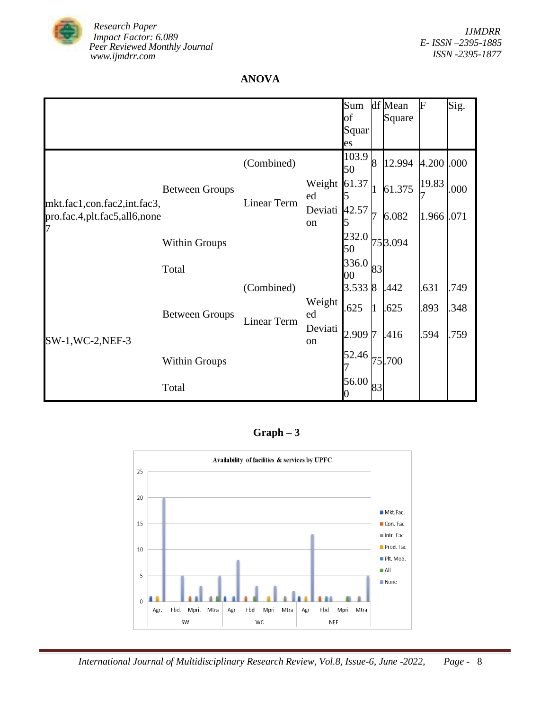

# **ANOVA**

|                                                                  |                       |                    |                     | Sum<br>of   |    | df Mean<br>Square | F          | Sig. |
|------------------------------------------------------------------|-----------------------|--------------------|---------------------|-------------|----|-------------------|------------|------|
|                                                                  |                       |                    |                     | Squar<br>es |    |                   |            |      |
|                                                                  |                       | (Combined)         |                     | 103.9<br>50 | 8  | 12.994            | 4.200 .000 |      |
|                                                                  | <b>Between Groups</b> |                    | Weight<br>ed        | 61.37       |    | 61.375            | 19.83      | .000 |
| mkt.fac1,con.fac2,int.fac3,<br>pro.fac.4,plt.fac5,all6,none<br>7 |                       | Linear Term        | Deviati 42.57<br>on |             |    | 6.082             | 1.966      | .071 |
|                                                                  | <b>Within Groups</b>  |                    |                     | 232.0<br>50 |    | 753.094           |            |      |
|                                                                  | Total                 |                    |                     | 336.0<br>00 | 83 |                   |            |      |
|                                                                  |                       | (Combined)         |                     | 3.5338      |    | .442              | .631       | .749 |
|                                                                  | <b>Between Groups</b> | <b>Linear Term</b> | Weight<br>ed        | 625         | 1  | .625              | .893       | .348 |
| SW-1, WC-2, NEF-3                                                |                       |                    | Deviati<br>on       | 2.9097      |    | .416              | .594       | .759 |
|                                                                  | <b>Within Groups</b>  |                    |                     | 52.46       |    | 75.700            |            |      |
|                                                                  | Total                 |                    |                     | 56.00       | 83 |                   |            |      |

**Graph – 3**

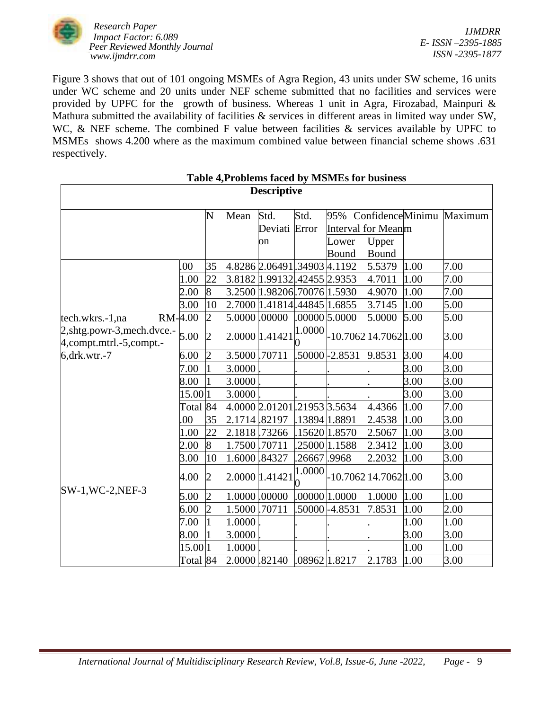

Figure 3 shows that out of 101 ongoing MSMEs of Agra Region, 43 units under SW scheme, 16 units under WC scheme and 20 units under NEF scheme submitted that no facilities and services were provided by UPFC for the growth of business. Whereas 1 unit in Agra, Firozabad, Mainpuri & Mathura submitted the availability of facilities & services in different areas in limited way under SW, WC, & NEF scheme. The combined F value between facilities & services available by UPFC to MSMEs shows 4.200 where as the maximum combined value between financial scheme shows .631 respectively.

| <b>Descriptive</b>                                            |          |                  |               |                                                             |               |                       |        |                  |         |  |  |  |
|---------------------------------------------------------------|----------|------------------|---------------|-------------------------------------------------------------|---------------|-----------------------|--------|------------------|---------|--|--|--|
|                                                               |          | N                | Mean          | Std.                                                        | Std.          | 95%                   |        | ConfidenceMinimu | Maximum |  |  |  |
|                                                               |          |                  |               | Deviati                                                     | Error         | Interval for Meanm    |        |                  |         |  |  |  |
|                                                               |          |                  |               | on                                                          |               | Lower                 | Upper  |                  |         |  |  |  |
|                                                               |          |                  |               |                                                             |               | Bound                 | Bound  |                  |         |  |  |  |
|                                                               | .00      | 35               |               | 4.8286 2.06491 .34903 4.1192                                |               |                       | 5.5379 | 1.00             | 7.00    |  |  |  |
|                                                               | 1.00     | 22               |               | 3.8182 1.99132 42455 2.9353                                 |               |                       | 4.7011 | 1.00             | 7.00    |  |  |  |
|                                                               | 2.00     | $\boldsymbol{8}$ |               | 3.2500 1.98206 70076 1.5930                                 |               |                       | 4.9070 | 1.00             | 7.00    |  |  |  |
|                                                               | 3.00     | 10               |               | 2.7000 1.41814 44845 1.6855                                 |               |                       | 3.7145 | 1.00             | 5.00    |  |  |  |
| RM-4.00<br>tech.wkrs.-1,na                                    |          | $\overline{2}$   | 5.0000 .00000 |                                                             |               | .00000 5.0000         | 5.0000 | 5.00             | 5.00    |  |  |  |
| 2, shtg.powr-3, mech.dvce.-<br>$4$ , compt.mtrl. -5, compt. - | 5.00     | $\overline{c}$   |               | $\left  \frac{2.0000}{0} \right  1.41421 \bigg _0^{1.0000}$ |               | -10.7062 14.7062 1.00 |        |                  | 3.00    |  |  |  |
| $6,$ drk.wtr.-7                                               | 6.00     | $\overline{2}$   | 3.5000.70711  |                                                             |               | .50000 - 2.8531       | 9.8531 | 3.00             | 4.00    |  |  |  |
|                                                               | 7.00     | $\overline{1}$   | 3.0000        |                                                             |               |                       |        | 3.00             | 3.00    |  |  |  |
|                                                               | 8.00     |                  | 3.0000        |                                                             |               |                       |        | 3.00             | 3.00    |  |  |  |
|                                                               | 15.00 1  |                  | 3.0000        |                                                             |               |                       |        | 3.00             | 3.00    |  |  |  |
|                                                               | Total 84 |                  |               | 4.0000 2.01201 21953 3.5634                                 |               |                       | 4.4366 | 1.00             | 7.00    |  |  |  |
|                                                               | .00      | 35               | 2.1714 .82197 |                                                             | 13894 1.8891  |                       | 2.4538 | 1.00             | 3.00    |  |  |  |
|                                                               | 1.00     | 22               | 2.1818.73266  |                                                             | .15620 1.8570 |                       | 2.5067 | 1.00             | 3.00    |  |  |  |
|                                                               | 2.00     | $\overline{8}$   | 1.7500.70711  |                                                             |               | 25000 1.1588          | 2.3412 | 1.00             | 3.00    |  |  |  |
|                                                               | 3.00     | 10               | 1.6000 .84327 |                                                             | .26667 .9968  |                       | 2.2032 | 1.00             | 3.00    |  |  |  |
|                                                               | 4.00     | $\overline{2}$   |               | 2.0000 1.41421                                              | 1.0000        | -10.7062 14.7062 1.00 |        |                  | 3.00    |  |  |  |
| $SW-1, WC-2,NEF-3$                                            | 5.00     | $\overline{2}$   |               | 1.0000.00000                                                |               | .00000 1.0000         | 1.0000 | 1.00             | 1.00    |  |  |  |
|                                                               | 6.00     | $\overline{2}$   | 1.5000.70711  |                                                             |               | .50000 - 4.8531       | 7.8531 | 1.00             | 2.00    |  |  |  |
|                                                               | 7.00     | $\mathbf{1}$     | 1.0000        |                                                             |               |                       |        | 1.00             | 1.00    |  |  |  |
|                                                               | 8.00     |                  | 3.0000        |                                                             |               |                       |        | 3.00             | 3.00    |  |  |  |
|                                                               | 15.00 1  |                  | 1.0000        |                                                             |               |                       |        | 1.00             | 1.00    |  |  |  |
|                                                               | Total 84 |                  | 2.0000 .82140 |                                                             | .08962 1.8217 |                       | 2.1783 | 1.00             | 3.00    |  |  |  |

# **Table 4,Problems faced by MSMEs for business**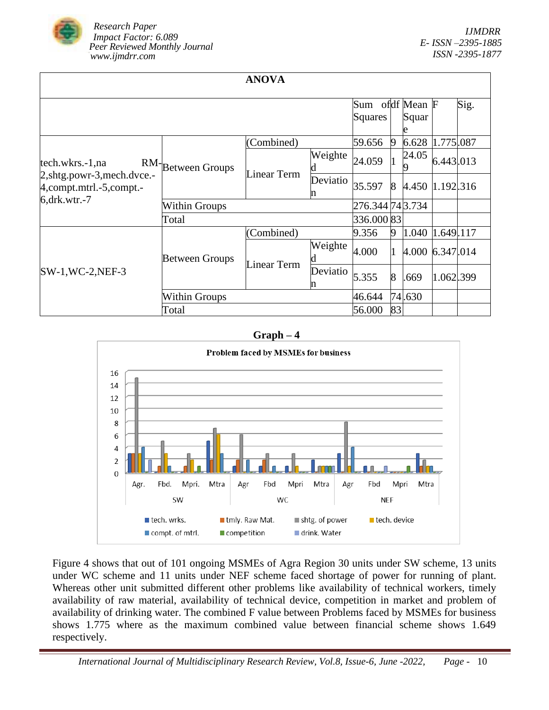

| ı |  |
|---|--|
|---|--|

|                                                               |                       |                  |               | Sum        |                | ofdf Mean F     |           | Sig. |
|---------------------------------------------------------------|-----------------------|------------------|---------------|------------|----------------|-----------------|-----------|------|
|                                                               |                       |                  |               | Squares    |                | Squar           |           |      |
|                                                               |                       | (Combined)       |               | 59.656     | 19             | 6.628           | 1.775.087 |      |
| tech.wkrs.-1,na                                               | RM-Between Groups     |                  | Weighte       | 24.059     |                | 24.05           | 6.443.013 |      |
| 2, shtg.powr-3, mech.dvce.-<br>$4$ , compt.mtrl. -5, compt. - |                       | Linear Term      | Deviatio<br>n | 35.597     | 8              | 4.450 1.192.316 |           |      |
| $6, drk.wtr.-7$                                               | <b>Within Groups</b>  | 276.344 74 3.734 |               |            |                |                 |           |      |
|                                                               | Total                 |                  |               | 336.000 83 |                |                 |           |      |
|                                                               |                       | (Combined)       |               | 9.356      | 9              | 1.040           | 1.649.117 |      |
|                                                               | <b>Between Groups</b> | Linear Term      | Weighte       | 4.000      |                | 4.000 6.347.014 |           |      |
| $SW-1, WC-2,NEF-3$                                            |                       |                  | Deviatio      | 5.355      | $\overline{8}$ | .669            | 1.062.399 |      |
|                                                               | <b>Within Groups</b>  | 46.644           |               | 74.630     |                |                 |           |      |
|                                                               | Total                 | 56.000           | 83            |            |                |                 |           |      |

#### **Graph – 4**



Figure 4 shows that out of 101 ongoing MSMEs of Agra Region 30 units under SW scheme, 13 units under WC scheme and 11 units under NEF scheme faced shortage of power for running of plant. Whereas other unit submitted different other problems like availability of technical workers, timely availability of raw material, availability of technical device, competition in market and problem of availability of drinking water. The combined F value between Problems faced by MSMEs for business shows 1.775 where as the maximum combined value between financial scheme shows 1.649 respectively.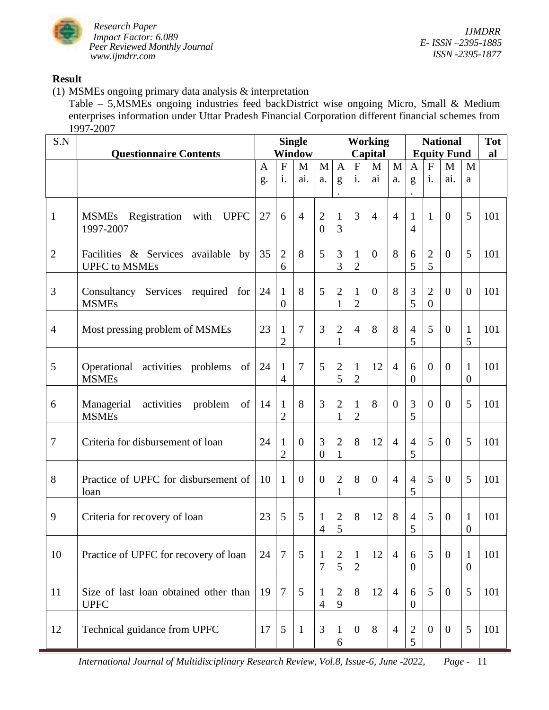

*IJMDRR E- ISSN –2395-1885 ISSN -2395-1877*

# **Result**

(1) MSMEs ongoing primary data analysis & interpretation

Table – 5,MSMEs ongoing industries feed backDistrict wise ongoing Micro, Small & Medium enterprises information under Uttar Pradesh Financial Corporation different financial schemes from 1997-2007

| S.N            |                                                               | <b>Single</b>      |                                |                |                                  |                     | <b>Working</b>                 |                |                |                     | <b>National</b>                  |                    |                                  |     |
|----------------|---------------------------------------------------------------|--------------------|--------------------------------|----------------|----------------------------------|---------------------|--------------------------------|----------------|----------------|---------------------|----------------------------------|--------------------|----------------------------------|-----|
|                | <b>Questionnaire Contents</b>                                 |                    |                                | <b>Window</b>  |                                  |                     |                                | Capital        |                |                     |                                  | <b>Equity Fund</b> |                                  | al  |
|                |                                                               | $\mathbf{A}$<br>g. | $\overline{F}$<br>i.           | M<br>ai.       | M<br>a.                          | $\mathbf{A}$<br>g   | $\overline{F}$<br>i.           | M<br>ai        | M<br>a.        | $\mathbf{A}$<br>g   | ${\bf F}$<br>i.                  | M<br>ai.           | M<br>a                           |     |
| $\mathbf{1}$   | <b>MSMEs</b><br>Registration with<br><b>UPFC</b><br>1997-2007 | 27                 | 6                              | $\overline{4}$ | $\overline{2}$<br>$\overline{0}$ | $\mathbf{1}$<br>3   | 3                              | $\overline{4}$ | $\overline{4}$ | 1<br>$\overline{4}$ | $\mathbf{1}$                     | $\theta$           | 5                                | 101 |
| $\overline{2}$ | Facilities & Services available by<br><b>UPFC</b> to MSMEs    | 35                 | $\overline{2}$<br>6            | 8              | 5                                | 3<br>3              | $\mathbf{1}$<br>$\overline{2}$ | $\overline{0}$ | 8              | 6<br>5              | $\overline{2}$<br>5              | $\overline{0}$     | 5                                | 101 |
| 3              | Consultancy Services required for<br><b>MSMEs</b>             | 24                 | $\mathbf{1}$<br>$\overline{0}$ | 8              | 5                                | $\overline{2}$<br>1 | $\mathbf{1}$<br>$\overline{2}$ | $\overline{0}$ | 8              | 3<br>5              | $\overline{2}$<br>$\overline{0}$ | $\overline{0}$     | $\theta$                         | 101 |
| $\overline{4}$ | Most pressing problem of MSMEs                                | 23                 | $\mathbf{1}$<br>$\overline{2}$ | 7              | 3                                | $\overline{2}$<br>1 | $\overline{4}$                 | 8              | 8              | $\overline{4}$<br>5 | 5                                | $\overline{0}$     | $\mathbf{1}$<br>5                | 101 |
| 5              | Operational<br>activities problems<br>of<br><b>MSMEs</b>      | 24                 | $\mathbf{1}$<br>$\overline{4}$ | 7              | 5                                | $\overline{2}$<br>5 | $\mathbf{1}$<br>$\overline{2}$ | 12             | $\overline{4}$ | 6<br>$\overline{0}$ | $\overline{0}$                   | $\overline{0}$     | $\mathbf{1}$<br>$\boldsymbol{0}$ | 101 |
| 6              | activities<br>Managerial<br>of<br>problem<br><b>MSMEs</b>     | 14                 | $\mathbf{1}$<br>$\overline{2}$ | 8              | 3                                | $\overline{2}$<br>1 | $\mathbf{1}$<br>$\overline{2}$ | 8              | $\overline{0}$ | 3<br>5              | $\overline{0}$                   | $\overline{0}$     | 5                                | 101 |
| $\tau$         | Criteria for disbursement of loan                             | 24                 | $\mathbf{1}$<br>$\overline{2}$ | $\theta$       | 3<br>$\overline{0}$              | $\overline{2}$<br>1 | 8                              | 12             | $\overline{4}$ | $\overline{4}$<br>5 | 5                                | $\theta$           | 5                                | 101 |
| 8              | Practice of UPFC for disbursement of<br>loan                  | 10                 | $\mathbf{1}$                   | $\overline{0}$ | $\theta$                         | $\overline{2}$<br>1 | 8                              | $\overline{0}$ | $\overline{4}$ | $\overline{4}$<br>5 | 5                                | $\theta$           | 5                                | 101 |
| 9              | Criteria for recovery of loan                                 | 23                 | 5                              | 5              | 1<br>4                           | $\overline{2}$<br>5 | 8                              | 12             | 8              | $\overline{4}$<br>5 | 5                                | $\theta$           | 1<br>$\boldsymbol{0}$            | 101 |
| 10             | Practice of UPFC for recovery of loan                         | 24                 | $\overline{7}$                 | 5              | $\mathbf{1}$<br>7                | $\mathbf{2}$<br>5   | $\mathbf{1}$<br>$\overline{2}$ | 12             | $\overline{4}$ | 6<br>$\overline{0}$ | 5                                | $\boldsymbol{0}$   | $\mathbf{1}$<br>$\boldsymbol{0}$ | 101 |
| 11             | Size of last loan obtained other than<br><b>UPFC</b>          | 19                 | $\overline{7}$                 | 5              | $\mathbf{1}$<br>$\overline{4}$   | $\overline{2}$<br>9 | 8                              | 12             | $\overline{4}$ | 6<br>$\overline{0}$ | 5                                | $\overline{0}$     | 5                                | 101 |
| 12             | Technical guidance from UPFC                                  | 17                 | $\overline{5}$                 | $\mathbf{1}$   | 3                                | $\mathbf{1}$<br>6   | $\boldsymbol{0}$               | 8              | $\overline{4}$ | $\sqrt{2}$<br>5     | $\overline{0}$                   | $\mathbf{0}$       | 5                                | 101 |

 *International Journal of Multidisciplinary Research Review, Vol.8, Issue-6, June -2022, Page -* 11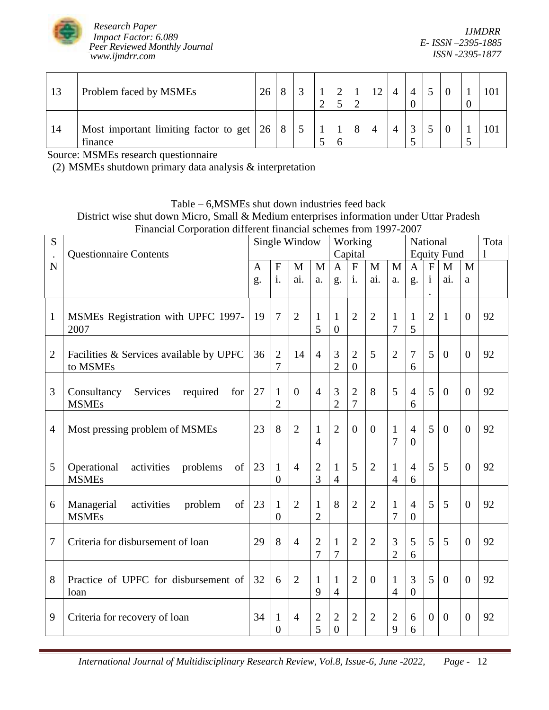

*IJMDRR E- ISSN –2395-1885 ISSN -2395-1877*

| 13 | Problem faced by MSMEs                                  | 26 | $\circ$ |  |   | 12 |  |  |  |
|----|---------------------------------------------------------|----|---------|--|---|----|--|--|--|
| 14 | Most important limiting factor to get $ 26 $<br>finance |    | 8       |  | 8 |    |  |  |  |

Source: MSMEs research questionnaire

(2) MSMEs shutdown primary data analysis & interpretation

Table – 6,MSMEs shut down industries feed back District wise shut down Micro, Small & Medium enterprises information under Uttar Pradesh Financial Corporation different financial schemes from 1997-2007

| S              | <b>Questionnaire Contents</b>                               | Single Window |                                  |                |                                |                                | Working<br>Capital               |                |                                | National<br><b>Equity Fund</b>   | Tota<br>1        |                |                |    |
|----------------|-------------------------------------------------------------|---------------|----------------------------------|----------------|--------------------------------|--------------------------------|----------------------------------|----------------|--------------------------------|----------------------------------|------------------|----------------|----------------|----|
| N              |                                                             | $\mathbf{A}$  | $\mathbf{F}$                     | M              | M                              | $\mathbf{A}$                   | $\overline{F}$                   | $\mathbf{M}$   | $\mathbf{M}$                   | $\mathbf{A}$                     | $\mathbf{F}$     | M              | $\mathbf{M}$   |    |
|                |                                                             | g.            | i.                               | ai.            | a.                             | g.                             | i.                               | ai.            | a.                             | g.                               | $\mathbf{i}$     | ai.            | a              |    |
| 1              | MSMEs Registration with UPFC 1997-<br>2007                  | 19            | $\overline{7}$                   | $\overline{2}$ | 1<br>5                         | 1<br>$\overline{0}$            | $\overline{2}$                   | $\overline{2}$ | $\mathbf{1}$<br>$\overline{7}$ | 1<br>5                           | $\overline{2}$   | $\mathbf{1}$   | $\overline{0}$ | 92 |
| $\overline{2}$ | Facilities & Services available by UPFC<br>to MSMEs         | 36            | $\overline{2}$<br>$\overline{7}$ | 14             | $\overline{4}$                 | 3<br>$\overline{2}$            | $\overline{2}$<br>$\mathbf{0}$   | 5              | $\overline{2}$                 | 7<br>6                           | 5                | $\overline{0}$ | $\overline{0}$ | 92 |
| 3              | Consultancy<br>Services<br>required<br>for<br><b>MSMEs</b>  | 27            | $\mathbf{1}$<br>$\overline{2}$   | $\theta$       | $\overline{4}$                 | 3<br>$\overline{2}$            | $\overline{2}$<br>$\overline{7}$ | 8              | 5                              | $\overline{4}$<br>6              | 5                | $\overline{0}$ | $\overline{0}$ | 92 |
| 4              | Most pressing problem of MSMEs                              | 23            | 8                                | $\overline{2}$ | $\mathbf{1}$<br>$\overline{4}$ | $\overline{2}$                 | $\overline{0}$                   | $\Omega$       | $\mathbf{1}$<br>7              | $\overline{4}$<br>$\overline{0}$ | 5                | $\overline{0}$ | $\overline{0}$ | 92 |
| 5              | Operational<br>activities<br>of<br>problems<br><b>MSMEs</b> | 23            | $\mathbf{1}$<br>$\theta$         | $\overline{4}$ | $\overline{2}$<br>3            | 1<br>$\overline{4}$            | 5                                | $\overline{2}$ | $\mathbf{1}$<br>$\overline{4}$ | $\overline{4}$<br>6              | 5                | 5              | $\overline{0}$ | 92 |
| 6              | Managerial<br>of<br>activities<br>problem<br><b>MSMEs</b>   | 23            | $\mathbf{1}$<br>$\overline{0}$   | $\overline{2}$ | $\mathbf{1}$<br>$\overline{2}$ | 8                              | $\overline{2}$                   | $\overline{2}$ | $\mathbf{1}$<br>$\overline{7}$ | $\overline{4}$<br>$\overline{0}$ | 5                | 5              | $\theta$       | 92 |
| 7              | Criteria for disbursement of loan                           | 29            | 8                                | $\overline{4}$ | $\overline{2}$<br>7            | $\mathbf{1}$<br>7              | $\overline{2}$                   | $\overline{2}$ | 3<br>$\overline{2}$            | 5<br>6                           | 5                | 5              | $\overline{0}$ | 92 |
| 8              | Practice of UPFC for disbursement of<br>loan                | 32            | 6                                | $\overline{2}$ | $\mathbf{1}$<br>9              | $\mathbf{1}$<br>$\overline{4}$ | $\overline{2}$                   | $\overline{0}$ | $\mathbf{1}$<br>$\overline{4}$ | 3<br>$\overline{0}$              | 5                | $\overline{0}$ | $\overline{0}$ | 92 |
| 9              | Criteria for recovery of loan                               | 34            | $\mathbf{1}$<br>$\Omega$         | $\overline{4}$ | $\mathbf{2}$<br>5              | $\overline{2}$<br>$\theta$     | $\overline{2}$                   | $\overline{2}$ | $\overline{2}$<br>9            | 6<br>6                           | $\boldsymbol{0}$ | $\overline{0}$ | $\overline{0}$ | 92 |

 *International Journal of Multidisciplinary Research Review, Vol.8, Issue-6, June -2022, Page -* 12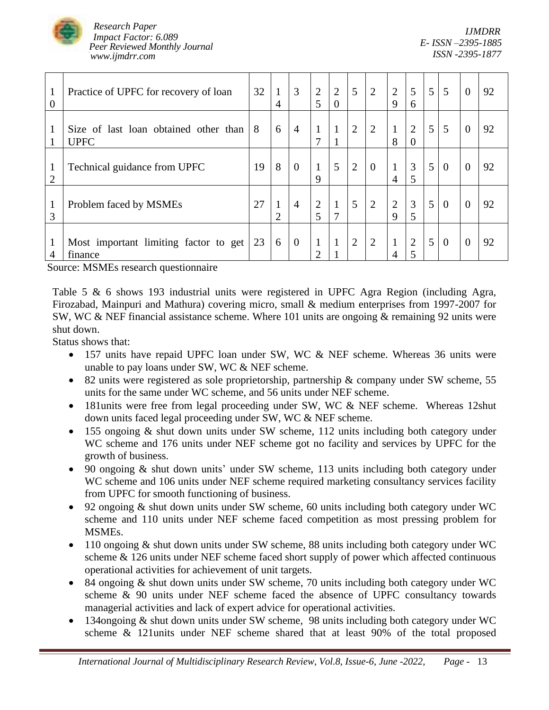

*IJMDRR E- ISSN –2395-1885 ISSN -2395-1877*

| $\mathbf{1}$<br>0              | Practice of UPFC for recovery of loan                | 32 | 4                           | 3              | $\overline{2}$<br>5 | 2<br>$\Omega$ | 5 | $\overline{2}$ | $\overline{2}$<br>$\mathbf Q$  | 5<br>6              | $5\overline{)}$ | 5        | $\overline{0}$ | 92 |
|--------------------------------|------------------------------------------------------|----|-----------------------------|----------------|---------------------|---------------|---|----------------|--------------------------------|---------------------|-----------------|----------|----------------|----|
|                                | Size of last loan obtained other than<br><b>UPFC</b> | 8  | 6                           | $\overline{4}$ | $\mathbf{1}$<br>7   | 1             | 2 | $\overline{2}$ | $\mathbf{1}$<br>8              | $\overline{2}$      | 5               | 5        | $\overline{0}$ | 92 |
| $\mathbf{1}$<br>$\overline{2}$ | Technical guidance from UPFC                         | 19 | 8                           | $\overline{0}$ | $\mathbf{1}$<br>9   | 5             | 2 | $\theta$       | $\mathbf{1}$<br>$\overline{4}$ | 3<br>5              | 5               | $\Omega$ | $\overline{0}$ | 92 |
| $\mathbf{1}$<br>3              | Problem faced by MSMEs                               | 27 | $\mathcal{D}_{\mathcal{A}}$ | $\overline{4}$ | $\overline{2}$<br>5 | $\mathbf{1}$  | 5 | $\overline{2}$ | $\overline{2}$<br>$\mathbf Q$  | 3<br>5              | 5               | $\Omega$ | $\overline{0}$ | 92 |
| $\mathbf{1}$<br>4              | Most important limiting factor to get<br>finance     | 23 | 6                           | $\overline{0}$ | $\mathbf{1}$<br>າ   | $\mathbf{1}$  | 2 | $\overline{2}$ | $\mathbf{1}$                   | $\overline{2}$<br>5 | 5               | $\theta$ | $\overline{0}$ | 92 |

Source: MSMEs research questionnaire

Table 5 & 6 shows 193 industrial units were registered in UPFC Agra Region (including Agra, Firozabad, Mainpuri and Mathura) covering micro, small & medium enterprises from 1997-2007 for SW, WC & NEF financial assistance scheme. Where 101 units are ongoing & remaining 92 units were shut down.

Status shows that:

- 157 units have repaid UPFC loan under SW, WC & NEF scheme. Whereas 36 units were unable to pay loans under SW, WC & NEF scheme.
- 82 units were registered as sole proprietorship, partnership & company under SW scheme, 55 units for the same under WC scheme, and 56 units under NEF scheme.
- 181units were free from legal proceeding under SW, WC & NEF scheme. Whereas 12shut down units faced legal proceeding under SW, WC & NEF scheme.
- 155 ongoing & shut down units under SW scheme, 112 units including both category under WC scheme and 176 units under NEF scheme got no facility and services by UPFC for the growth of business.
- 90 ongoing & shut down units' under SW scheme, 113 units including both category under WC scheme and 106 units under NEF scheme required marketing consultancy services facility from UPFC for smooth functioning of business.
- 92 ongoing & shut down units under SW scheme, 60 units including both category under WC scheme and 110 units under NEF scheme faced competition as most pressing problem for MSMEs.
- 110 ongoing & shut down units under SW scheme, 88 units including both category under WC scheme & 126 units under NEF scheme faced short supply of power which affected continuous operational activities for achievement of unit targets.
- 84 ongoing & shut down units under SW scheme, 70 units including both category under WC scheme & 90 units under NEF scheme faced the absence of UPFC consultancy towards managerial activities and lack of expert advice for operational activities.
- 134ongoing & shut down units under SW scheme, 98 units including both category under WC scheme & 121units under NEF scheme shared that at least 90% of the total proposed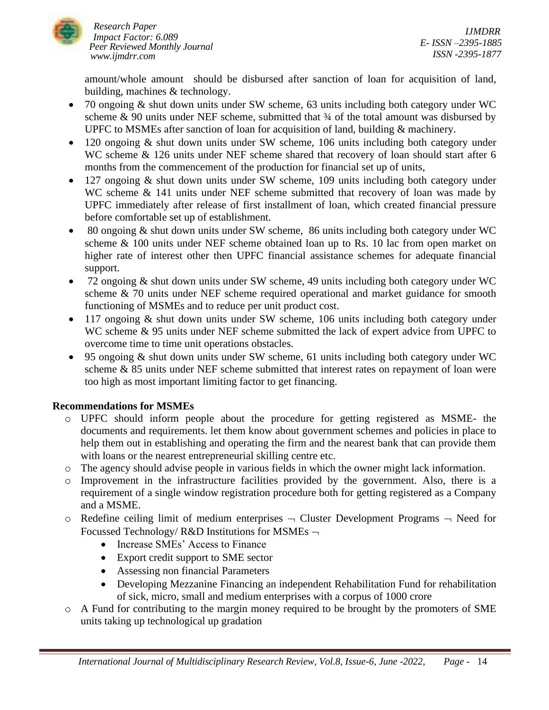

*IJMDRR E- ISSN –2395-1885 ISSN -2395-1877*

amount/whole amount should be disbursed after sanction of loan for acquisition of land, building, machines & technology.

- 70 ongoing & shut down units under SW scheme, 63 units including both category under WC scheme  $\&$  90 units under NEF scheme, submitted that  $\frac{3}{4}$  of the total amount was disbursed by UPFC to MSMEs after sanction of loan for acquisition of land, building & machinery.
- 120 ongoing & shut down units under SW scheme, 106 units including both category under WC scheme & 126 units under NEF scheme shared that recovery of loan should start after 6 months from the commencement of the production for financial set up of units,
- 127 ongoing & shut down units under SW scheme, 109 units including both category under WC scheme & 141 units under NEF scheme submitted that recovery of loan was made by UPFC immediately after release of first installment of loan, which created financial pressure before comfortable set up of establishment.
- 80 ongoing  $&$  shut down units under SW scheme, 86 units including both category under WC scheme & 100 units under NEF scheme obtained loan up to Rs. 10 lac from open market on higher rate of interest other then UPFC financial assistance schemes for adequate financial support.
- 72 ongoing & shut down units under SW scheme, 49 units including both category under WC scheme & 70 units under NEF scheme required operational and market guidance for smooth functioning of MSMEs and to reduce per unit product cost.
- 117 ongoing & shut down units under SW scheme, 106 units including both category under WC scheme & 95 units under NEF scheme submitted the lack of expert advice from UPFC to overcome time to time unit operations obstacles.
- 95 ongoing & shut down units under SW scheme, 61 units including both category under WC scheme & 85 units under NEF scheme submitted that interest rates on repayment of loan were too high as most important limiting factor to get financing.

# **Recommendations for MSMEs**

- o UPFC should inform people about the procedure for getting registered as MSME- the documents and requirements. let them know about government schemes and policies in place to help them out in establishing and operating the firm and the nearest bank that can provide them with loans or the nearest entrepreneurial skilling centre etc.
- o The agency should advise people in various fields in which the owner might lack information.
- o Improvement in the infrastructure facilities provided by the government. Also, there is a requirement of a single window registration procedure both for getting registered as a Company and a MSME.
- $\circ$  Redefine ceiling limit of medium enterprises  $\neg$  Cluster Development Programs  $\neg$  Need for Focussed Technology/ R&D Institutions for MSMEs  $\neg$ 
	- Increase SMEs' Access to Finance
	- Export credit support to SME sector
	- Assessing non financial Parameters
	- Developing Mezzanine Financing an independent Rehabilitation Fund for rehabilitation of sick, micro, small and medium enterprises with a corpus of 1000 crore
- o A Fund for contributing to the margin money required to be brought by the promoters of SME units taking up technological up gradation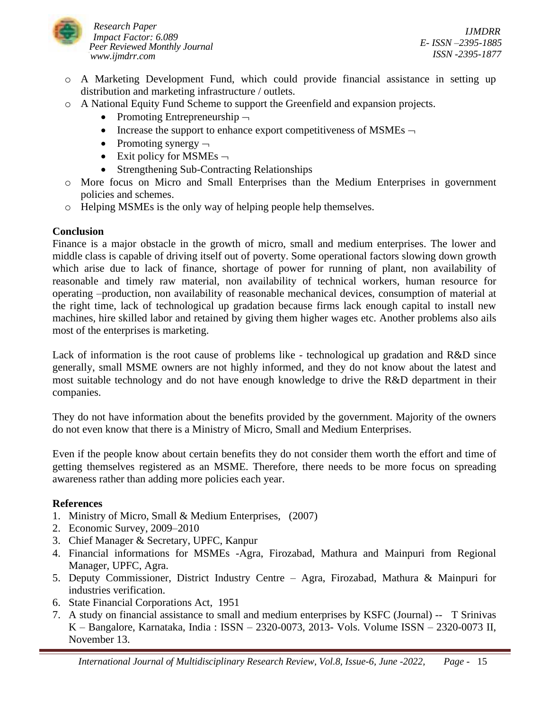

- o A Marketing Development Fund, which could provide financial assistance in setting up distribution and marketing infrastructure / outlets.
- o A National Equity Fund Scheme to support the Greenfield and expansion projects.
	- Promoting Entrepreneurship  $\neg$
	- Increase the support to enhance export competitiveness of MSMEs  $\neg$
	- Promoting synergy  $\neg$
	- Exit policy for MSMEs  $\neg$
	- Strengthening Sub-Contracting Relationships
- o More focus on Micro and Small Enterprises than the Medium Enterprises in government policies and schemes.
- o Helping MSMEs is the only way of helping people help themselves.

# **Conclusion**

Finance is a major obstacle in the growth of micro, small and medium enterprises. The lower and middle class is capable of driving itself out of poverty. Some operational factors slowing down growth which arise due to lack of finance, shortage of power for running of plant, non availability of reasonable and timely raw material, non availability of technical workers, human resource for operating –production, non availability of reasonable mechanical devices, consumption of material at the right time, lack of technological up gradation because firms lack enough capital to install new machines, hire skilled labor and retained by giving them higher wages etc. Another problems also ails most of the enterprises is marketing.

Lack of information is the root cause of problems like - technological up gradation and R&D since generally, small MSME owners are not highly informed, and they do not know about the latest and most suitable technology and do not have enough knowledge to drive the R&D department in their companies.

They do not have information about the benefits provided by the government. Majority of the owners do not even know that there is a Ministry of Micro, Small and Medium Enterprises.

Even if the people know about certain benefits they do not consider them worth the effort and time of getting themselves registered as an MSME. Therefore, there needs to be more focus on spreading awareness rather than adding more policies each year.

# **References**

- 1. Ministry of Micro, Small & Medium Enterprises, (2007)
- 2. Economic Survey, 2009–2010
- 3. Chief Manager & Secretary, UPFC, Kanpur
- 4. Financial informations for MSMEs -Agra, Firozabad, Mathura and Mainpuri from Regional Manager, UPFC, Agra.
- 5. Deputy Commissioner, District Industry Centre Agra, Firozabad, Mathura & Mainpuri for industries verification.
- 6. State Financial Corporations Act, 1951
- 7. A study on financial assistance to small and medium enterprises by KSFC (Journal) -- T Srinivas K – Bangalore, Karnataka, India : ISSN – 2320-0073, 2013- Vols. Volume ISSN – 2320-0073 II, November 13.